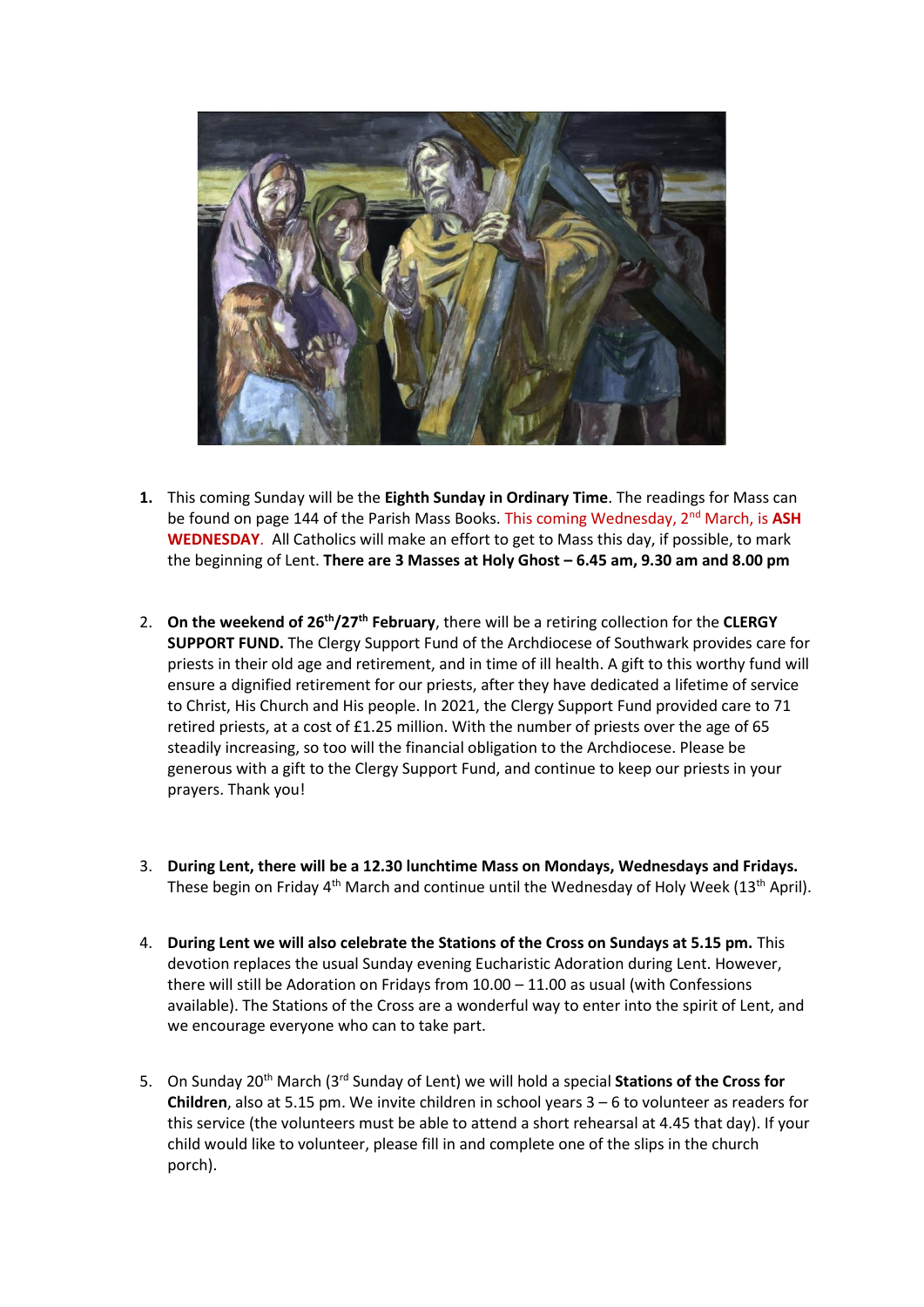

- **1.** This coming Sunday will be the **Eighth Sunday in Ordinary Time**. The readings for Mass can be found on page 144 of the Parish Mass Books. This coming Wednesday, 2nd March, is **ASH WEDNESDAY**. All Catholics will make an effort to get to Mass this day, if possible, to mark the beginning of Lent. **There are 3 Masses at Holy Ghost – 6.45 am, 9.30 am and 8.00 pm**
- 2. **On the weekend of 26th/27th February**, there will be a retiring collection for the **CLERGY SUPPORT FUND.** The Clergy Support Fund of the Archdiocese of Southwark provides care for priests in their old age and retirement, and in time of ill health. A gift to this worthy fund will ensure a dignified retirement for our priests, after they have dedicated a lifetime of service to Christ, His Church and His people. In 2021, the Clergy Support Fund provided care to 71 retired priests, at a cost of £1.25 million. With the number of priests over the age of 65 steadily increasing, so too will the financial obligation to the Archdiocese. Please be generous with a gift to the Clergy Support Fund, and continue to keep our priests in your prayers. Thank you!
- 3. **During Lent, there will be a 12.30 lunchtime Mass on Mondays, Wednesdays and Fridays.** These begin on Friday  $4<sup>th</sup>$  March and continue until the Wednesday of Holy Week (13<sup>th</sup> April).
- 4. **During Lent we will also celebrate the Stations of the Cross on Sundays at 5.15 pm.** This devotion replaces the usual Sunday evening Eucharistic Adoration during Lent. However, there will still be Adoration on Fridays from 10.00 – 11.00 as usual (with Confessions available). The Stations of the Cross are a wonderful way to enter into the spirit of Lent, and we encourage everyone who can to take part.
- 5. On Sunday 20th March (3rd Sunday of Lent) we will hold a special **Stations of the Cross for Children**, also at 5.15 pm. We invite children in school years 3 – 6 to volunteer as readers for this service (the volunteers must be able to attend a short rehearsal at 4.45 that day). If your child would like to volunteer, please fill in and complete one of the slips in the church porch).